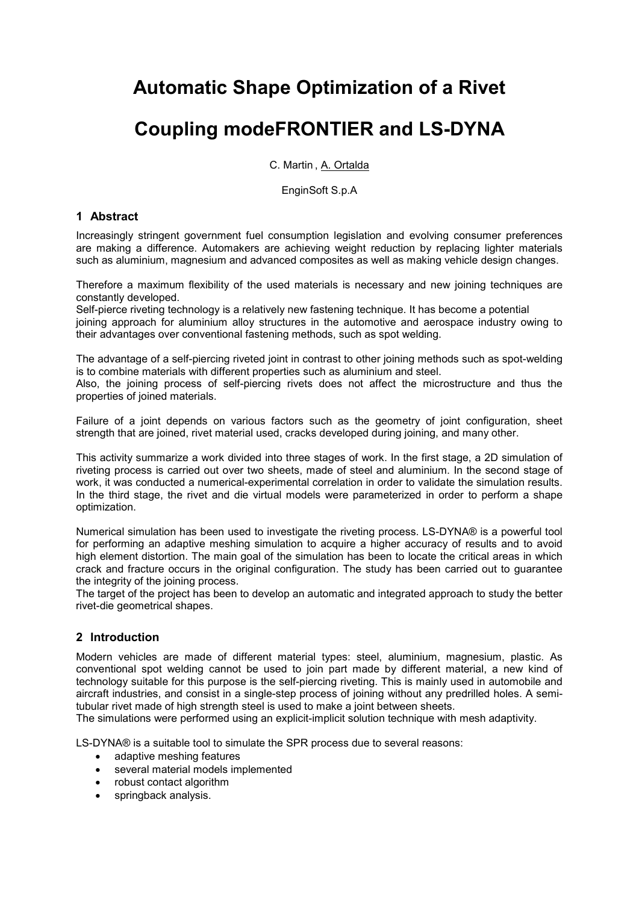## **Automatic Shape Optimization of a Rivet**

# **Coupling modeFRONTIER and LS-DYNA**

C. Martin , A. Ortalda

EnginSoft S.p.A

#### **1 Abstract**

Increasingly stringent government fuel consumption legislation and evolving consumer preferences are making a difference. Automakers are achieving weight reduction by replacing lighter materials such as aluminium, magnesium and advanced composites as well as making vehicle design changes.

Therefore a maximum flexibility of the used materials is necessary and new joining techniques are constantly developed.

Self-pierce riveting technology is a relatively new fastening technique. It has become a potential joining approach for aluminium alloy structures in the automotive and aerospace industry owing to their advantages over conventional fastening methods, such as spot welding.

The advantage of a self-piercing riveted joint in contrast to other joining methods such as spot-welding is to combine materials with different properties such as aluminium and steel.

Also, the joining process of self-piercing rivets does not affect the microstructure and thus the properties of joined materials.

Failure of a joint depends on various factors such as the geometry of joint configuration, sheet strength that are joined, rivet material used, cracks developed during joining, and many other.

This activity summarize a work divided into three stages of work. In the first stage, a 2D simulation of riveting process is carried out over two sheets, made of steel and aluminium. In the second stage of work, it was conducted a numerical-experimental correlation in order to validate the simulation results. In the third stage, the rivet and die virtual models were parameterized in order to perform a shape optimization.

Numerical simulation has been used to investigate the riveting process. LS-DYNA® is a powerful tool for performing an adaptive meshing simulation to acquire a higher accuracy of results and to avoid high element distortion. The main goal of the simulation has been to locate the critical areas in which crack and fracture occurs in the original configuration. The study has been carried out to guarantee the integrity of the joining process.

The target of the project has been to develop an automatic and integrated approach to study the better rivet-die geometrical shapes.

## **2 Introduction**

Modern vehicles are made of different material types: steel, aluminium, magnesium, plastic. As conventional spot welding cannot be used to join part made by different material, a new kind of technology suitable for this purpose is the self-piercing riveting. This is mainly used in automobile and aircraft industries, and consist in a single-step process of joining without any predrilled holes. A semitubular rivet made of high strength steel is used to make a joint between sheets.

The simulations were performed using an explicit-implicit solution technique with mesh adaptivity.

LS-DYNA® is a suitable tool to simulate the SPR process due to several reasons:

- adaptive meshing features
- several material models implemented
- robust contact algorithm
- springback analysis.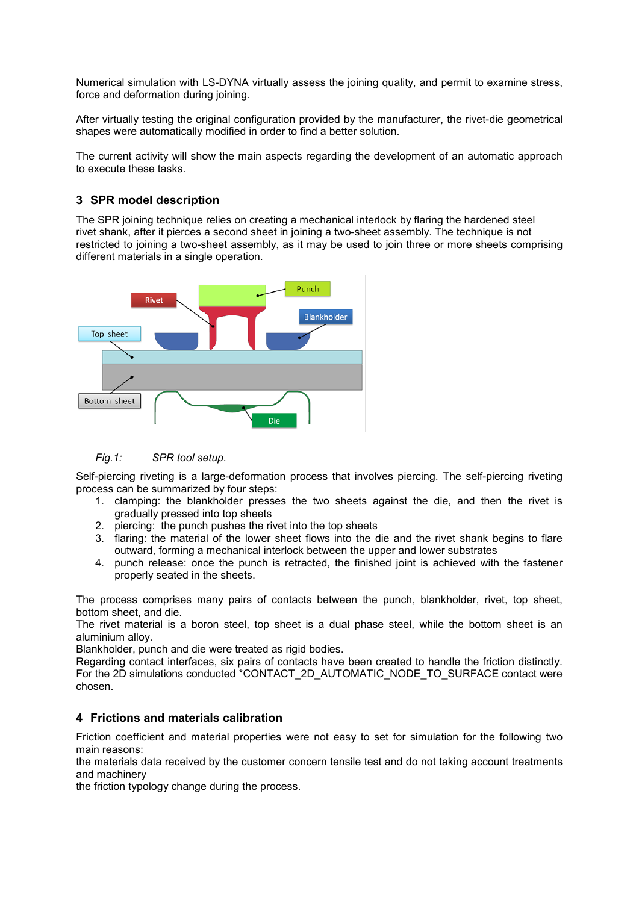Numerical simulation with LS-DYNA virtually assess the joining quality, and permit to examine stress, force and deformation during joining.

After virtually testing the original configuration provided by the manufacturer, the rivet-die geometrical shapes were automatically modified in order to find a better solution.

The current activity will show the main aspects regarding the development of an automatic approach to execute these tasks.

## **3 SPR model description**

The SPR joining technique relies on creating a mechanical interlock by flaring the hardened steel rivet shank, after it pierces a second sheet in joining a two-sheet assembly. The technique is not restricted to joining a two-sheet assembly, as it may be used to join three or more sheets comprising different materials in a single operation.





Self-piercing riveting is a large-deformation process that involves piercing. The self-piercing riveting process can be summarized by four steps:

- 1. clamping: the blankholder presses the two sheets against the die, and then the rivet is gradually pressed into top sheets
- 2. piercing: the punch pushes the rivet into the top sheets
- 3. flaring: the material of the lower sheet flows into the die and the rivet shank begins to flare outward, forming a mechanical interlock between the upper and lower substrates
- 4. punch release: once the punch is retracted, the finished joint is achieved with the fastener properly seated in the sheets.

The process comprises many pairs of contacts between the punch, blankholder, rivet, top sheet, bottom sheet, and die.

The rivet material is a boron steel, top sheet is a dual phase steel, while the bottom sheet is an aluminium alloy.

Blankholder, punch and die were treated as rigid bodies.

Regarding contact interfaces, six pairs of contacts have been created to handle the friction distinctly. For the 2D simulations conducted \*CONTACT\_2D\_AUTOMATIC\_NODE\_TO\_SURFACE contact were chosen.

#### **4 Frictions and materials calibration**

Friction coefficient and material properties were not easy to set for simulation for the following two main reasons:

the materials data received by the customer concern tensile test and do not taking account treatments and machinery

the friction typology change during the process.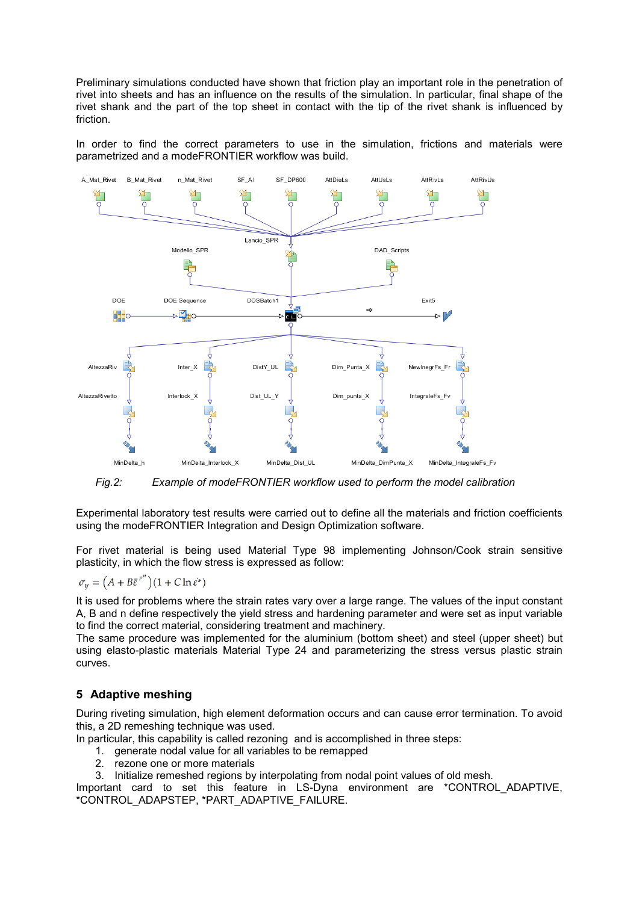Preliminary simulations conducted have shown that friction play an important role in the penetration of rivet into sheets and has an influence on the results of the simulation. In particular, final shape of the rivet shank and the part of the top sheet in contact with the tip of the rivet shank is influenced by friction.

In order to find the correct parameters to use in the simulation, frictions and materials were parametrized and a modeFRONTIER workflow was build.



*Fig.2: Example of modeFRONTIER workflow used to perform the model calibration*

Experimental laboratory test results were carried out to define all the materials and friction coefficients using the modeFRONTIER Integration and Design Optimization software.

For rivet material is being used Material Type 98 implementing Johnson/Cook strain sensitive plasticity, in which the flow stress is expressed as follow:

$$
\sigma_y = \left(A + B\bar{\varepsilon}^{p^n}\right)(1 + C\ln \dot{\varepsilon}^*)
$$

It is used for problems where the strain rates vary over a large range. The values of the input constant A, B and n define respectively the yield stress and hardening parameter and were set as input variable to find the correct material, considering treatment and machinery.

The same procedure was implemented for the aluminium (bottom sheet) and steel (upper sheet) but using elasto-plastic materials Material Type 24 and parameterizing the stress versus plastic strain curves.

## **5 Adaptive meshing**

During riveting simulation, high element deformation occurs and can cause error termination. To avoid this, a 2D remeshing technique was used.

In particular, this capability is called rezoning and is accomplished in three steps:

- 1. generate nodal value for all variables to be remapped
- 2. rezone one or more materials

3. Initialize remeshed regions by interpolating from nodal point values of old mesh.

Important card to set this feature in LS-Dyna environment are \*CONTROL\_ADAPTIVE, \*CONTROL\_ADAPSTEP, \*PART\_ADAPTIVE\_FAILURE.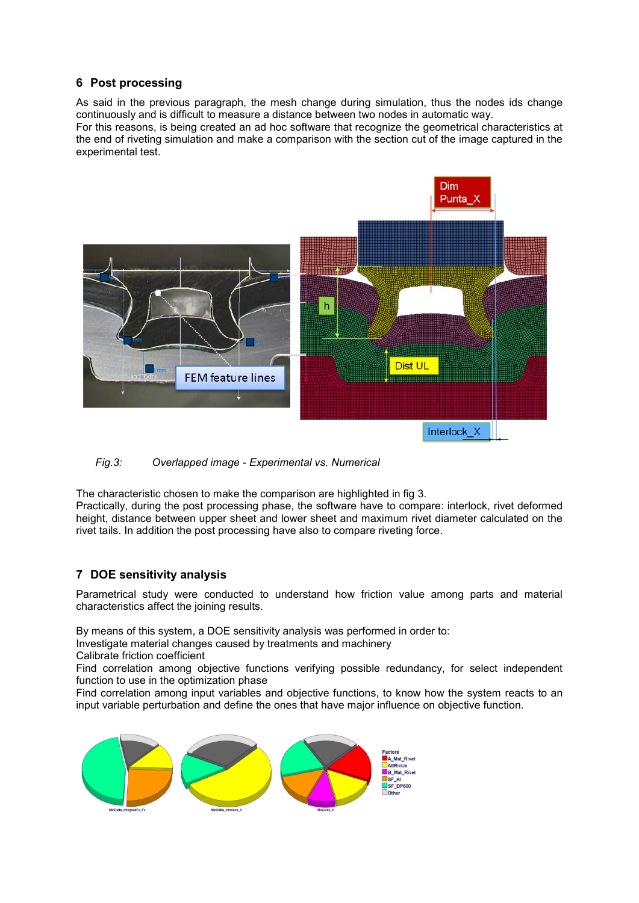## **6 Post processing**

As said in the previous paragraph, the mesh change during simulation, thus the nodes ids change continuously and is difficult to measure a distance between two nodes in automatic way.

For this reasons, is being created an ad hoc software that recognize the geometrical characteristics at the end of riveting simulation and make a comparison with the section cut of the image captured in the experimental test.



*Fig.3: Overlapped image - Experimental vs. Numerical*

The characteristic chosen to make the comparison are highlighted in fig 3.

Practically, during the post processing phase, the software have to compare: interlock, rivet deformed height, distance between upper sheet and lower sheet and maximum rivet diameter calculated on the rivet tails. In addition the post processing have also to compare riveting force.

## **7 DOE sensitivity analysis**

Parametrical study were conducted to understand how friction value among parts and material characteristics affect the joining results.

By means of this system, a DOE sensitivity analysis was performed in order to:

Investigate material changes caused by treatments and machinery

Calibrate friction coefficient

Find correlation among objective functions verifying possible redundancy, for select independent function to use in the optimization phase

Find correlation among input variables and objective functions, to know how the system reacts to an input variable perturbation and define the ones that have major influence on objective function.

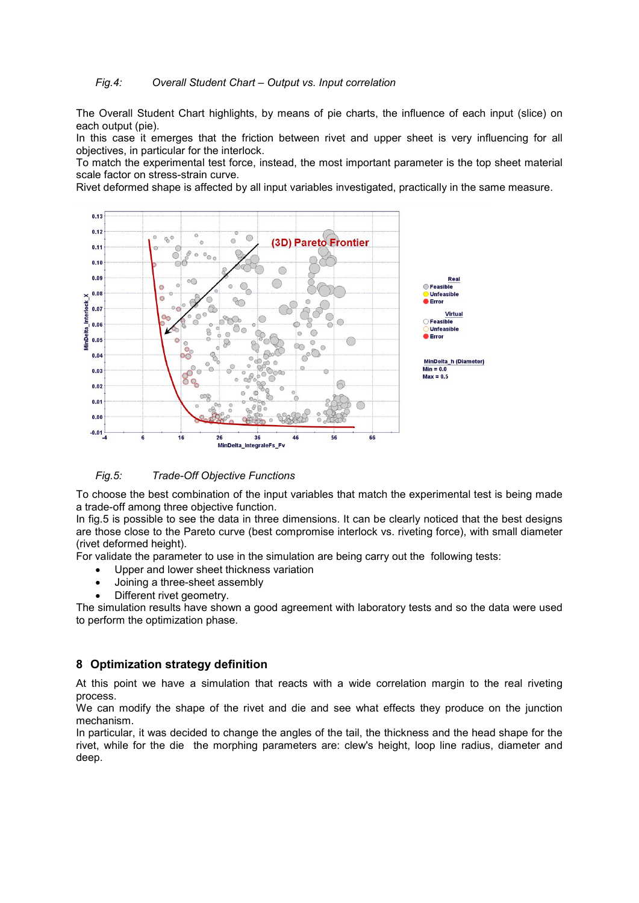#### *Fig.4: Overall Student Chart – Output vs. Input correlation*

The Overall Student Chart highlights, by means of pie charts, the influence of each input (slice) on each output (pie).

In this case it emerges that the friction between rivet and upper sheet is very influencing for all objectives, in particular for the interlock.

To match the experimental test force, instead, the most important parameter is the top sheet material scale factor on stress-strain curve.

Rivet deformed shape is affected by all input variables investigated, practically in the same measure.



#### *Fig.5: Trade-Off Objective Functions*

To choose the best combination of the input variables that match the experimental test is being made a trade-off among three objective function.

In fig.5 is possible to see the data in three dimensions. It can be clearly noticed that the best designs are those close to the Pareto curve (best compromise interlock vs. riveting force), with small diameter (rivet deformed height).

For validate the parameter to use in the simulation are being carry out the following tests:

- Upper and lower sheet thickness variation
- Joining a three-sheet assembly
- Different rivet geometry.

The simulation results have shown a good agreement with laboratory tests and so the data were used to perform the optimization phase.

#### **8 Optimization strategy definition**

At this point we have a simulation that reacts with a wide correlation margin to the real riveting process.

We can modify the shape of the rivet and die and see what effects they produce on the junction mechanism.

In particular, it was decided to change the angles of the tail, the thickness and the head shape for the rivet, while for the die the morphing parameters are: clew's height, loop line radius, diameter and deep.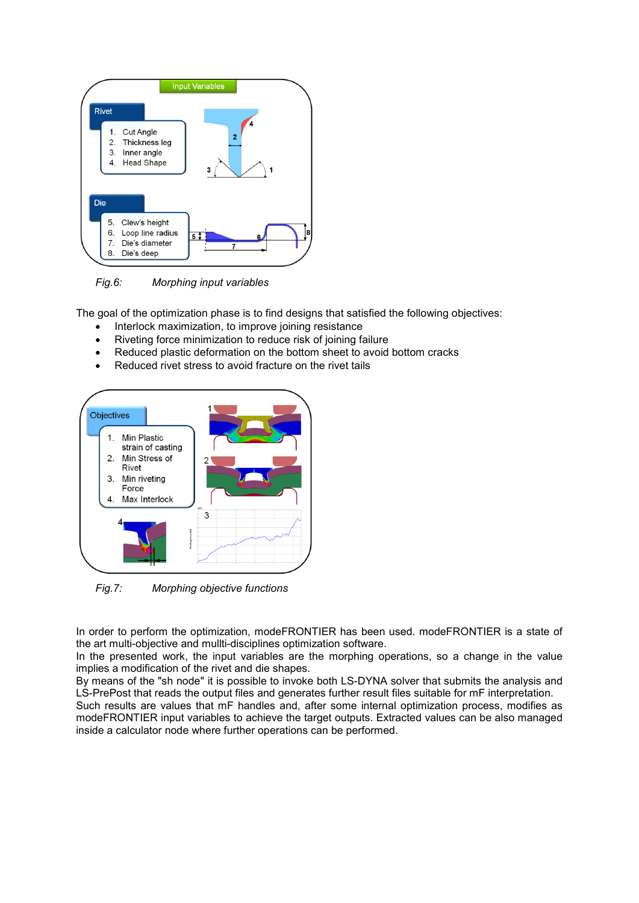

*Fig.6: Morphing input variables*

The goal of the optimization phase is to find designs that satisfied the following objectives:

- Interlock maximization, to improve joining resistance
- Riveting force minimization to reduce risk of joining failure
- Reduced plastic deformation on the bottom sheet to avoid bottom cracks
- Reduced rivet stress to avoid fracture on the rivet tails



*Fig.7: Morphing objective functions*

In order to perform the optimization, modeFRONTIER has been used. modeFRONTIER is a state of the art multi-objective and mullti-disciplines optimization software.

In the presented work, the input variables are the morphing operations, so a change in the value implies a modification of the rivet and die shapes.

By means of the "sh node" it is possible to invoke both LS-DYNA solver that submits the analysis and LS-PrePost that reads the output files and generates further result files suitable for mF interpretation. Such results are values that mF handles and, after some internal optimization process, modifies as modeFRONTIER input variables to achieve the target outputs. Extracted values can be also managed inside a calculator node where further operations can be performed.